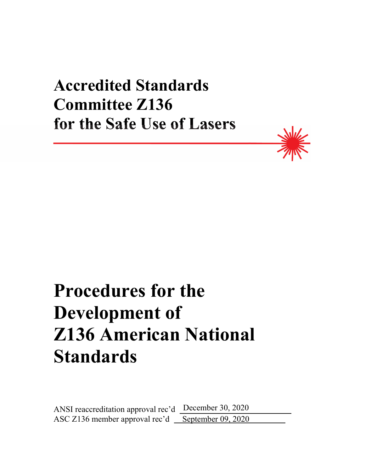# **Accredited Standards Committee Z136 for the Safe Use of Lasers**



# **Procedures for the Development of Z136 American National Standards**

ANSI reaccreditation approval rec'd December 30, 2020ASC Z136 member approval rec'd September 09, 2020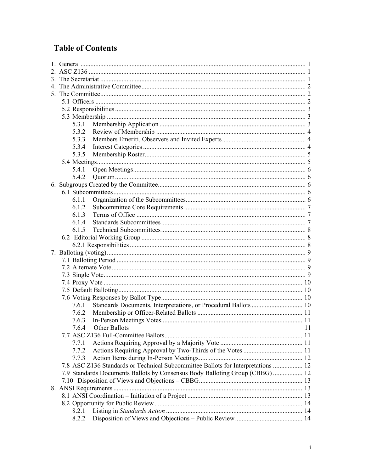# **Table of Contents**

| 5.3.1 |                                                                                  |  |  |  |  |  |
|-------|----------------------------------------------------------------------------------|--|--|--|--|--|
| 5.3.2 |                                                                                  |  |  |  |  |  |
| 5.3.3 |                                                                                  |  |  |  |  |  |
| 5.3.4 |                                                                                  |  |  |  |  |  |
| 5.3.5 |                                                                                  |  |  |  |  |  |
|       |                                                                                  |  |  |  |  |  |
| 5.4.1 |                                                                                  |  |  |  |  |  |
| 5.4.2 |                                                                                  |  |  |  |  |  |
|       |                                                                                  |  |  |  |  |  |
|       |                                                                                  |  |  |  |  |  |
| 6.1.1 |                                                                                  |  |  |  |  |  |
| 6.1.2 |                                                                                  |  |  |  |  |  |
|       |                                                                                  |  |  |  |  |  |
| 6.1.3 |                                                                                  |  |  |  |  |  |
| 6.1.4 |                                                                                  |  |  |  |  |  |
| 6.1.5 |                                                                                  |  |  |  |  |  |
|       |                                                                                  |  |  |  |  |  |
|       |                                                                                  |  |  |  |  |  |
|       |                                                                                  |  |  |  |  |  |
|       |                                                                                  |  |  |  |  |  |
|       |                                                                                  |  |  |  |  |  |
|       |                                                                                  |  |  |  |  |  |
|       |                                                                                  |  |  |  |  |  |
|       |                                                                                  |  |  |  |  |  |
|       |                                                                                  |  |  |  |  |  |
| 7.6.1 | Standards Documents, Interpretations, or Procedural Ballots  10                  |  |  |  |  |  |
| 7.6.2 |                                                                                  |  |  |  |  |  |
| 7.6.3 |                                                                                  |  |  |  |  |  |
|       | 7.6.4 Other Ballots<br>11                                                        |  |  |  |  |  |
|       |                                                                                  |  |  |  |  |  |
| 7.7.1 |                                                                                  |  |  |  |  |  |
| 7.7.2 | Actions Requiring Approval by Two-Thirds of the Votes  11                        |  |  |  |  |  |
| 7.7.3 |                                                                                  |  |  |  |  |  |
|       | 7.8 ASC Z136 Standards or Technical Subcommittee Ballots for Interpretations  12 |  |  |  |  |  |
|       |                                                                                  |  |  |  |  |  |
|       | 7.9 Standards Documents Ballots by Consensus Body Balloting Group (CBBG)  12     |  |  |  |  |  |
|       |                                                                                  |  |  |  |  |  |
|       |                                                                                  |  |  |  |  |  |
|       |                                                                                  |  |  |  |  |  |
|       |                                                                                  |  |  |  |  |  |
| 8.2.1 |                                                                                  |  |  |  |  |  |
| 8.2.2 |                                                                                  |  |  |  |  |  |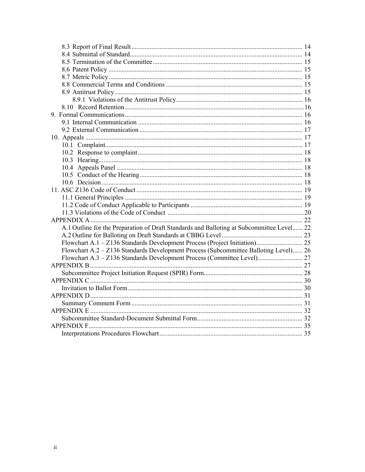| A.1 Outline for the Preparation of Draft Standards and Balloting at Subcommittee Level 22 |  |
|-------------------------------------------------------------------------------------------|--|
|                                                                                           |  |
|                                                                                           |  |
| Flowchart A.2 - Z136 Standards Development Process (Subcommittee Balloting Level) 26      |  |
|                                                                                           |  |
|                                                                                           |  |
|                                                                                           |  |
|                                                                                           |  |
|                                                                                           |  |
|                                                                                           |  |
|                                                                                           |  |
|                                                                                           |  |
|                                                                                           |  |
|                                                                                           |  |
|                                                                                           |  |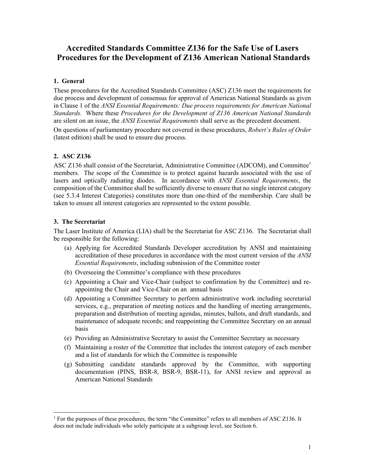# **Accredited Standards Committee Z136 for the Safe Use of Lasers Procedures for the Development of Z136 American National Standards**

#### **1. General**

These procedures for the Accredited Standards Committee (ASC) Z136 meet the requirements for due process and development of consensus for approval of American National Standards as given in Clause 1 of the *ANSI Essential Requirements: Due process requirements for American National Standards.* Where these *Procedures for the Development of Z136 American National Standards* are silent on an issue, the *ANSI Essential Requirements* shall serve as the precedent document.

On questions of parliamentary procedure not covered in these procedures, *Robert's Rules of Order* (latest edition) shall be used to ensure due process.

#### **2. ASC Z136**

ASC Z136 shall consist of the Secretariat, Administrative Committee (ADCOM), and Committee<sup>1</sup> members. The scope of the Committee is to protect against hazards associated with the use of lasers and optically radiating diodes. In accordance with *ANSI Essential Requirements*, the composition of the Committee shall be sufficiently diverse to ensure that no single interest category (see 5.3.4 Interest Categories) constitutes more than one-third of the membership. Care shall be taken to ensure all interest categories are represented to the extent possible.

#### **3. The Secretariat**

The Laser Institute of America (LIA) shall be the Secretariat for ASC Z136. The Secretariat shall be responsible for the following:

- (a) Applying for Accredited Standards Developer accreditation by ANSI and maintaining accreditation of these procedures in accordance with the most current version of the *ANSI Essential Requirements*, including submission of the Committee roster
- (b) Overseeing the Committee's compliance with these procedures
- (c) Appointing a Chair and Vice-Chair (subject to confirmation by the Committee) and reappointing the Chair and Vice-Chair on an annual basis
- (d) Appointing a Committee Secretary to perform administrative work including secretarial services, e.g., preparation of meeting notices and the handling of meeting arrangements, preparation and distribution of meeting agendas, minutes, ballots, and draft standards, and maintenance of adequate records; and reappointing the Committee Secretary on an annual basis
- (e) Providing an Administrative Secretary to assist the Committee Secretary as necessary
- (f) Maintaining a roster of the Committee that includes the interest category of each member and a list of standards for which the Committee is responsible
- (g) Submitting candidate standards approved by the Committee, with supporting documentation (PINS, BSR-8, BSR-9, BSR-11), for ANSI review and approval as American National Standards

<sup>&</sup>lt;sup>1</sup> For the purposes of these procedures, the term "the Committee" refers to all members of ASC Z136. It does not include individuals who solely participate at a subgroup level, see Section 6.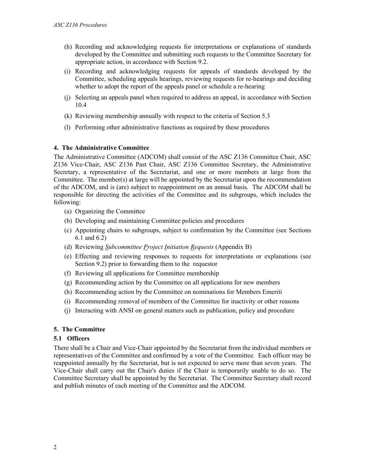- (h) Recording and acknowledging requests for interpretations or explanations of standards developed by the Committee and submitting such requests to the Committee Secretary for appropriate action, in accordance with Section 9.2.
- (i) Recording and acknowledging requests for appeals of standards developed by the Committee, scheduling appeals hearings, reviewing requests for re-hearings and deciding whether to adopt the report of the appeals panel or schedule a re-hearing
- (j) Selecting an appeals panel when required to address an appeal, in accordance with Section 10.4
- (k) Reviewing membership annually with respect to the criteria of Section 5.3
- (l) Performing other administrative functions as required by these procedures

#### **4. The Administrative Committee**

The Administrative Committee (ADCOM) shall consist of the ASC Z136 Committee Chair, ASC Z136 Vice-Chair, ASC Z136 Past Chair, ASC Z136 Committee Secretary, the Administrative Secretary, a representative of the Secretariat, and one or more members at large from the Committee. The member(s) at large will be appointed by the Secretariat upon the recommendation of the ADCOM, and is (are) subject to reappointment on an annual basis. The ADCOM shall be responsible for directing the activities of the Committee and its subgroups, which includes the following:

- (a) Organizing the Committee
- (b) Developing and maintaining Committee policies and procedures
- (c) Appointing chairs to subgroups, subject to confirmation by the Committee (see Sections 6.1 and 6.2)
- (d) Reviewing *Subcommittee Project Initiation Requests* (Appendix B)
- (e) Effecting and reviewing responses to requests for interpretations or explanations (see Section 9.2) prior to forwarding them to the requestor
- (f) Reviewing all applications for Committee membership
- (g) Recommending action by the Committee on all applications for new members
- (h) Recommending action by the Committee on nominations for Members Emeriti
- (i) Recommending removal of members of the Committee for inactivity or other reasons
- (j) Interacting with ANSI on general matters such as publication, policy and procedure

#### **5. The Committee**

#### **5.1 Officers**

There shall be a Chair and Vice-Chair appointed by the Secretariat from the individual members or representatives of the Committee and confirmed by a vote of the Committee. Each officer may be reappointed annually by the Secretariat, but is not expected to serve more than seven years. The Vice-Chair shall carry out the Chair's duties if the Chair is temporarily unable to do so. The Committee Secretary shall be appointed by the Secretariat. The Committee Secretary shall record and publish minutes of each meeting of the Committee and the ADCOM.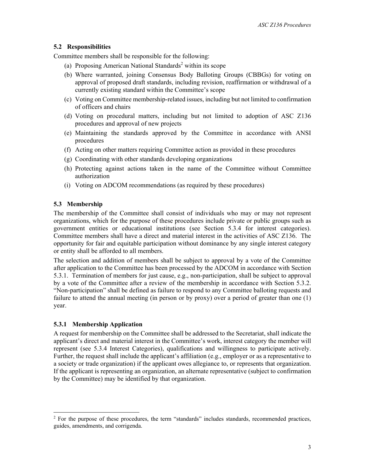# **5.2 Responsibilities**

Committee members shall be responsible for the following:

- (a) Proposing American National Standards<sup>2</sup> within its scope
- (b) Where warranted, joining Consensus Body Balloting Groups (CBBGs) for voting on approval of proposed draft standards, including revision, reaffirmation or withdrawal of a currently existing standard within the Committee's scope
- (c) Voting on Committee membership-related issues, including but not limited to confirmation of officers and chairs
- (d) Voting on procedural matters, including but not limited to adoption of ASC Z136 procedures and approval of new projects
- (e) Maintaining the standards approved by the Committee in accordance with ANSI procedures
- (f) Acting on other matters requiring Committee action as provided in these procedures
- (g) Coordinating with other standards developing organizations
- (h) Protecting against actions taken in the name of the Committee without Committee authorization
- (i) Voting on ADCOM recommendations (as required by these procedures)

# **5.3 Membership**

The membership of the Committee shall consist of individuals who may or may not represent organizations, which for the purpose of these procedures include private or public groups such as government entities or educational institutions (see Section 5.3.4 for interest categories). Committee members shall have a direct and material interest in the activities of ASC Z136. The opportunity for fair and equitable participation without dominance by any single interest category or entity shall be afforded to all members.

The selection and addition of members shall be subject to approval by a vote of the Committee after application to the Committee has been processed by the ADCOM in accordance with Section 5.3.1. Termination of members for just cause, e.g., non-participation, shall be subject to approval by a vote of the Committee after a review of the membership in accordance with Section 5.3.2. "Non-participation" shall be defined as failure to respond to any Committee balloting requests and failure to attend the annual meeting (in person or by proxy) over a period of greater than one (1) year.

# **5.3.1 Membership Application**

A request for membership on the Committee shall be addressed to the Secretariat, shall indicate the applicant's direct and material interest in the Committee's work, interest category the member will represent (see 5.3.4 Interest Categories), qualifications and willingness to participate actively. Further, the request shall include the applicant's affiliation (e.g., employer or as a representative to a society or trade organization) if the applicant owes allegiance to, or represents that organization. If the applicant is representing an organization, an alternate representative (subject to confirmation by the Committee) may be identified by that organization.

<sup>&</sup>lt;sup>2</sup> For the purpose of these procedures, the term "standards" includes standards, recommended practices, guides, amendments, and corrigenda.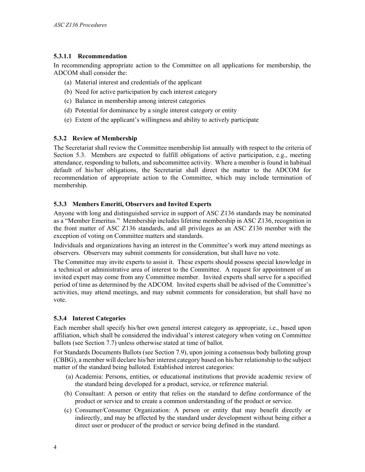#### **5.3.1.1 Recommendation**

In recommending appropriate action to the Committee on all applications for membership, the ADCOM shall consider the:

- (a) Material interest and credentials of the applicant
- (b) Need for active participation by each interest category
- (c) Balance in membership among interest categories
- (d) Potential for dominance by a single interest category or entity
- (e) Extent of the applicant's willingness and ability to actively participate

#### **5.3.2 Review of Membership**

The Secretariat shall review the Committee membership list annually with respect to the criteria of Section 5.3. Members are expected to fulfill obligations of active participation, e.g., meeting attendance, responding to ballots, and subcommittee activity. Where a member is found in habitual default of his/her obligations, the Secretariat shall direct the matter to the ADCOM for recommendation of appropriate action to the Committee, which may include termination of membership.

#### **5.3.3 Members Emeriti, Observers and Invited Experts**

Anyone with long and distinguished service in support of ASC Z136 standards may be nominated as a "Member Emeritus." Membership includes lifetime membership in ASC Z136, recognition in the front matter of ASC Z136 standards, and all privileges as an ASC Z136 member with the exception of voting on Committee matters and standards.

Individuals and organizations having an interest in the Committee's work may attend meetings as observers. Observers may submit comments for consideration, but shall have no vote.

The Committee may invite experts to assist it. These experts should possess special knowledge in a technical or administrative area of interest to the Committee. A request for appointment of an invited expert may come from any Committee member. Invited experts shall serve for a specified period of time as determined by the ADCOM. Invited experts shall be advised of the Committee's activities, may attend meetings, and may submit comments for consideration, but shall have no vote.

# **5.3.4 Interest Categories**

Each member shall specify his/her own general interest category as appropriate, i.e., based upon affiliation, which shall be considered the individual's interest category when voting on Committee ballots (see Section 7.7) unless otherwise stated at time of ballot.

For Standards Documents Ballots (see Section 7.9), upon joining a consensus body balloting group (CBBG), a member will declare his/her interest category based on his/her relationship to the subject matter of the standard being balloted. Established interest categories:

- (a) Academia: Persons, entities, or educational institutions that provide academic review of the standard being developed for a product, service, or reference material.
- (b) Consultant: A person or entity that relies on the standard to define conformance of the product or service and to create a common understanding of the product or service.
- (c) Consumer/Consumer Organization: A person or entity that may benefit directly or indirectly, and may be affected by the standard under development without being either a direct user or producer of the product or service being defined in the standard.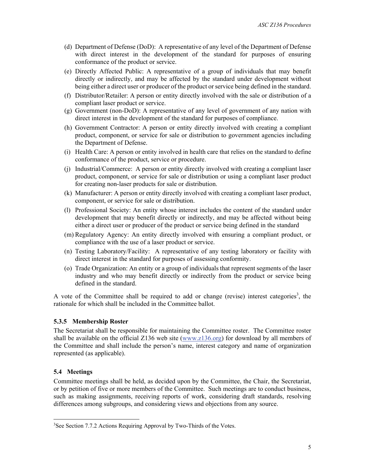- (d) Department of Defense (DoD): A representative of any level of the Department of Defense with direct interest in the development of the standard for purposes of ensuring conformance of the product or service.
- (e) Directly Affected Public: A representative of a group of individuals that may benefit directly or indirectly, and may be affected by the standard under development without being either a direct user or producer of the product or service being defined in the standard.
- (f) Distributor/Retailer: A person or entity directly involved with the sale or distribution of a compliant laser product or service.
- (g) Government (non-DoD): A representative of any level of government of any nation with direct interest in the development of the standard for purposes of compliance.
- (h) Government Contractor: A person or entity directly involved with creating a compliant product, component, or service for sale or distribution to government agencies including the Department of Defense.
- (i) Health Care: A person or entity involved in health care that relies on the standard to define conformance of the product, service or procedure.
- (j) Industrial/Commerce: A person or entity directly involved with creating a compliant laser product, component, or service for sale or distribution or using a compliant laser product for creating non-laser products for sale or distribution.
- (k) Manufacturer: A person or entity directly involved with creating a compliant laser product, component, or service for sale or distribution.
- (l) Professional Society: An entity whose interest includes the content of the standard under development that may benefit directly or indirectly, and may be affected without being either a direct user or producer of the product or service being defined in the standard
- (m) Regulatory Agency: An entity directly involved with ensuring a compliant product, or compliance with the use of a laser product or service.
- (n) Testing Laboratory/Facility: A representative of any testing laboratory or facility with direct interest in the standard for purposes of assessing conformity.
- (o) Trade Organization: An entity or a group of individuals that represent segments of the laser industry and who may benefit directly or indirectly from the product or service being defined in the standard.

A vote of the Committee shall be required to add or change (revise) interest categories<sup>3</sup>, the rationale for which shall be included in the Committee ballot.

#### **5.3.5 Membership Roster**

The Secretariat shall be responsible for maintaining the Committee roster. The Committee roster shall be available on the official Z136 web site (www.z136.org) for download by all members of the Committee and shall include the person's name, interest category and name of organization represented (as applicable).

# **5.4 Meetings**

Committee meetings shall be held, as decided upon by the Committee, the Chair, the Secretariat, or by petition of five or more members of the Committee. Such meetings are to conduct business, such as making assignments, receiving reports of work, considering draft standards, resolving differences among subgroups, and considering views and objections from any source.

 $\frac{1}{3}$ <sup>3</sup>See Section 7.7.2 Actions Requiring Approval by Two-Thirds of the Votes.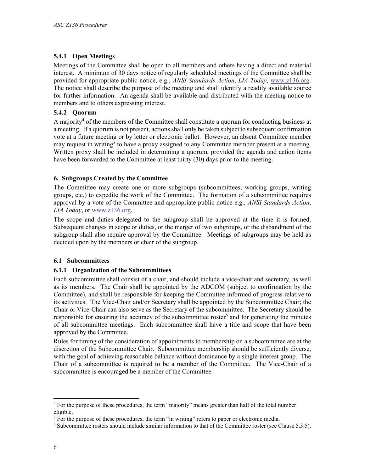#### **5.4.1 Open Meetings**

Meetings of the Committee shall be open to all members and others having a direct and material interest. A minimum of 30 days notice of regularly scheduled meetings of the Committee shall be provided for appropriate public notice, e.g., *ANSI Standards Action*, *LIA Today*, www.z136.org. The notice shall describe the purpose of the meeting and shall identify a readily available source for further information. An agenda shall be available and distributed with the meeting notice to members and to others expressing interest.

#### **5.4.2 Quorum**

A majority<sup>4</sup> of the members of the Committee shall constitute a quorum for conducting business at a meeting. If a quorum is not present, actions shall only be taken subject to subsequent confirmation vote at a future meeting or by letter or electronic ballot. However, an absent Committee member may request in writing<sup>5</sup> to have a proxy assigned to any Committee member present at a meeting. Written proxy shall be included in determining a quorum, provided the agenda and action items have been forwarded to the Committee at least thirty (30) days prior to the meeting.

#### **6. Subgroups Created by the Committee**

The Committee may create one or more subgroups (subcommittees, working groups, writing groups, etc.) to expedite the work of the Committee. The formation of a subcommittee requires approval by a vote of the Committee and appropriate public notice e.g., *ANSI Standards Action*, *LIA Today*, or www.z136.org.

The scope and duties delegated to the subgroup shall be approved at the time it is formed. Subsequent changes in scope or duties, or the merger of two subgroups, or the disbandment of the subgroup shall also require approval by the Committee. Meetings of subgroups may be held as decided upon by the members or chair of the subgroup.

#### **6.1 Subcommittees**

#### **6.1.1 Organization of the Subcommittees**

Each subcommittee shall consist of a chair, and should include a vice-chair and secretary, as well as its members. The Chair shall be appointed by the ADCOM (subject to confirmation by the Committee), and shall be responsible for keeping the Committee informed of progress relative to its activities. The Vice-Chair and/or Secretary shall be appointed by the Subcommittee Chair; the Chair or Vice-Chair can also serve as the Secretary of the subcommittee. The Secretary should be responsible for ensuring the accuracy of the subcommittee roster<sup>6</sup> and for generating the minutes of all subcommittee meetings. Each subcommittee shall have a title and scope that have been approved by the Committee.

Rules for timing of the consideration of appointments to membership on a subcommittee are at the discretion of the Subcommittee Chair. Subcommittee membership should be sufficiently diverse, with the goal of achieving reasonable balance without dominance by a single interest group. The Chair of a subcommittee is required to be a member of the Committee. The Vice-Chair of a subcommittee is encouraged be a member of the Committee.

<sup>&</sup>lt;sup>4</sup> For the purpose of these procedures, the term "majority" means greater than half of the total number eligible.

 $5$  For the purpose of these procedures, the term "in writing" refers to paper or electronic media.

<sup>6</sup> Subcommittee rosters should include similar information to that of the Committee roster (see Clause 5.3.5).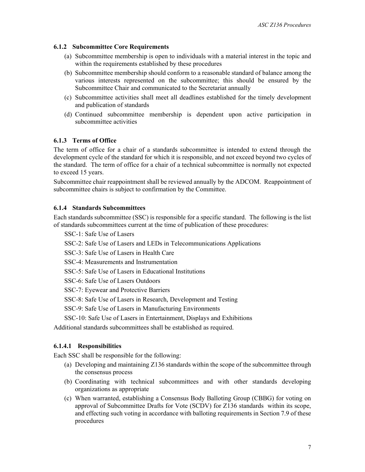#### **6.1.2 Subcommittee Core Requirements**

- (a) Subcommittee membership is open to individuals with a material interest in the topic and within the requirements established by these procedures
- (b) Subcommittee membership should conform to a reasonable standard of balance among the various interests represented on the subcommittee; this should be ensured by the Subcommittee Chair and communicated to the Secretariat annually
- (c) Subcommittee activities shall meet all deadlines established for the timely development and publication of standards
- (d) Continued subcommittee membership is dependent upon active participation in subcommittee activities

#### **6.1.3 Terms of Office**

The term of office for a chair of a standards subcommittee is intended to extend through the development cycle of the standard for which it is responsible, and not exceed beyond two cycles of the standard. The term of office for a chair of a technical subcommittee is normally not expected to exceed 15 years.

Subcommittee chair reappointment shall be reviewed annually by the ADCOM. Reappointment of subcommittee chairs is subject to confirmation by the Committee.

#### **6.1.4 Standards Subcommittees**

Each standards subcommittee (SSC) is responsible for a specific standard. The following is the list of standards subcommittees current at the time of publication of these procedures:

SSC-1: Safe Use of Lasers

SSC-2: Safe Use of Lasers and LEDs in Telecommunications Applications

SSC-3: Safe Use of Lasers in Health Care

SSC-4: Measurements and Instrumentation

SSC-5: Safe Use of Lasers in Educational Institutions

SSC-6: Safe Use of Lasers Outdoors

SSC-7: Eyewear and Protective Barriers

SSC-8: Safe Use of Lasers in Research, Development and Testing

SSC-9: Safe Use of Lasers in Manufacturing Environments

SSC-10: Safe Use of Lasers in Entertainment, Displays and Exhibitions

Additional standards subcommittees shall be established as required.

#### **6.1.4.1 Responsibilities**

Each SSC shall be responsible for the following:

- (a) Developing and maintaining Z136 standards within the scope of the subcommittee through the consensus process
- (b) Coordinating with technical subcommittees and with other standards developing organizations as appropriate
- (c) When warranted, establishing a Consensus Body Balloting Group (CBBG) for voting on approval of Subcommittee Drafts for Vote (SCDV) for Z136 standards within its scope, and effecting such voting in accordance with balloting requirements in Section 7.9 of these procedures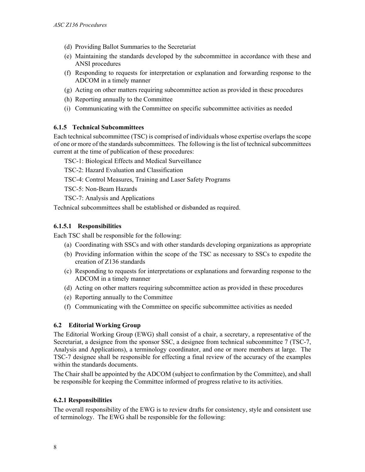- (d) Providing Ballot Summaries to the Secretariat
- (e) Maintaining the standards developed by the subcommittee in accordance with these and ANSI procedures
- (f) Responding to requests for interpretation or explanation and forwarding response to the ADCOM in a timely manner
- (g) Acting on other matters requiring subcommittee action as provided in these procedures
- (h) Reporting annually to the Committee
- (i) Communicating with the Committee on specific subcommittee activities as needed

#### **6.1.5 Technical Subcommittees**

Each technical subcommittee (TSC) is comprised of individuals whose expertise overlaps the scope of one or more of the standards subcommittees. The following is the list of technical subcommittees current at the time of publication of these procedures:

TSC-1: Biological Effects and Medical Surveillance

TSC-2: Hazard Evaluation and Classification

TSC-4: Control Measures, Training and Laser Safety Programs

TSC-5: Non-Beam Hazards

TSC-7: Analysis and Applications

Technical subcommittees shall be established or disbanded as required.

#### **6.1.5.1 Responsibilities**

Each TSC shall be responsible for the following:

- (a) Coordinating with SSCs and with other standards developing organizations as appropriate
- (b) Providing information within the scope of the TSC as necessary to SSCs to expedite the creation of Z136 standards
- (c) Responding to requests for interpretations or explanations and forwarding response to the ADCOM in a timely manner
- (d) Acting on other matters requiring subcommittee action as provided in these procedures
- (e) Reporting annually to the Committee
- (f) Communicating with the Committee on specific subcommittee activities as needed

#### **6.2 Editorial Working Group**

The Editorial Working Group (EWG) shall consist of a chair, a secretary, a representative of the Secretariat, a designee from the sponsor SSC, a designee from technical subcommittee 7 (TSC-7, Analysis and Applications), a terminology coordinator, and one or more members at large. The TSC-7 designee shall be responsible for effecting a final review of the accuracy of the examples within the standards documents.

The Chair shall be appointed by the ADCOM (subject to confirmation by the Committee), and shall be responsible for keeping the Committee informed of progress relative to its activities.

#### **6.2.1 Responsibilities**

The overall responsibility of the EWG is to review drafts for consistency, style and consistent use of terminology. The EWG shall be responsible for the following: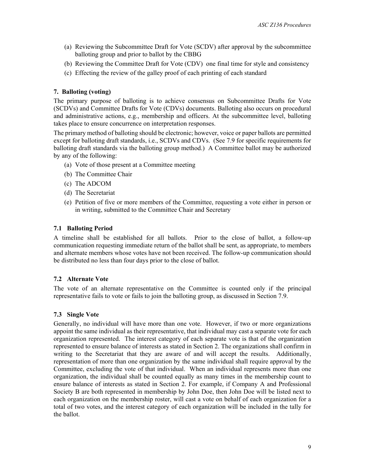- (a) Reviewing the Subcommittee Draft for Vote (SCDV) after approval by the subcommittee balloting group and prior to ballot by the CBBG
- (b) Reviewing the Committee Draft for Vote (CDV) one final time for style and consistency
- (c) Effecting the review of the galley proof of each printing of each standard

# **7. Balloting (voting)**

The primary purpose of balloting is to achieve consensus on Subcommittee Drafts for Vote (SCDVs) and Committee Drafts for Vote (CDVs) documents. Balloting also occurs on procedural and administrative actions, e.g., membership and officers. At the subcommittee level, balloting takes place to ensure concurrence on interpretation responses.

The primary method of balloting should be electronic; however, voice or paper ballots are permitted except for balloting draft standards, i.e., SCDVs and CDVs. (See 7.9 for specific requirements for balloting draft standards via the balloting group method.) A Committee ballot may be authorized by any of the following:

- (a) Vote of those present at a Committee meeting
- (b) The Committee Chair
- (c) The ADCOM
- (d) The Secretariat
- (e) Petition of five or more members of the Committee, requesting a vote either in person or in writing, submitted to the Committee Chair and Secretary

#### **7.1 Balloting Period**

A timeline shall be established for all ballots. Prior to the close of ballot, a follow-up communication requesting immediate return of the ballot shall be sent, as appropriate, to members and alternate members whose votes have not been received. The follow-up communication should be distributed no less than four days prior to the close of ballot.

# **7.2 Alternate Vote**

The vote of an alternate representative on the Committee is counted only if the principal representative fails to vote or fails to join the balloting group, as discussed in Section 7.9.

# **7.3 Single Vote**

Generally, no individual will have more than one vote. However, if two or more organizations appoint the same individual as their representative, that individual may cast a separate vote for each organization represented. The interest category of each separate vote is that of the organization represented to ensure balance of interests as stated in Section 2. The organizations shall confirm in writing to the Secretariat that they are aware of and will accept the results. Additionally, representation of more than one organization by the same individual shall require approval by the Committee, excluding the vote of that individual. When an individual represents more than one organization, the individual shall be counted equally as many times in the membership count to ensure balance of interests as stated in Section 2. For example, if Company A and Professional Society B are both represented in membership by John Doe, then John Doe will be listed next to each organization on the membership roster, will cast a vote on behalf of each organization for a total of two votes, and the interest category of each organization will be included in the tally for the ballot.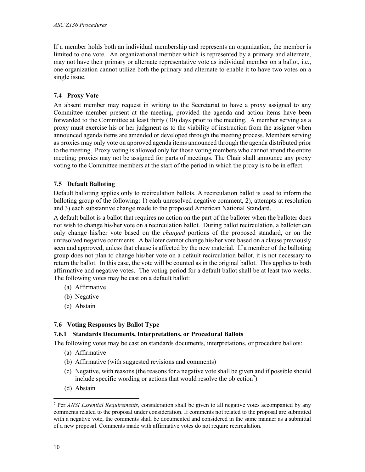If a member holds both an individual membership and represents an organization, the member is limited to one vote. An organizational member which is represented by a primary and alternate, may not have their primary or alternate representative vote as individual member on a ballot, i.e., one organization cannot utilize both the primary and alternate to enable it to have two votes on a single issue.

# **7.4 Proxy Vote**

An absent member may request in writing to the Secretariat to have a proxy assigned to any Committee member present at the meeting, provided the agenda and action items have been forwarded to the Committee at least thirty (30) days prior to the meeting. A member serving as a proxy must exercise his or her judgment as to the viability of instruction from the assigner when announced agenda items are amended or developed through the meeting process. Members serving as proxies may only vote on approved agenda items announced through the agenda distributed prior to the meeting. Proxy voting is allowed only for those voting members who cannot attend the entire meeting; proxies may not be assigned for parts of meetings. The Chair shall announce any proxy voting to the Committee members at the start of the period in which the proxy is to be in effect.

# **7.5 Default Balloting**

Default balloting applies only to recirculation ballots. A recirculation ballot is used to inform the balloting group of the following: 1) each unresolved negative comment, 2), attempts at resolution and 3) each substantive change made to the proposed American National Standard.

A default ballot is a ballot that requires no action on the part of the balloter when the balloter does not wish to change his/her vote on a recirculation ballot. During ballot recirculation, a balloter can only change his/her vote based on the *changed* portions of the proposed standard, or on the unresolved negative comments. A balloter cannot change his/her vote based on a clause previously seen and approved, unless that clause is affected by the new material. If a member of the balloting group does not plan to change his/her vote on a default recirculation ballot, it is not necessary to return the ballot. In this case, the vote will be counted as in the original ballot. This applies to both affirmative and negative votes. The voting period for a default ballot shall be at least two weeks. The following votes may be cast on a default ballot:

- (a) Affirmative
- (b) Negative
- (c) Abstain

#### **7.6 Voting Responses by Ballot Type**

#### **7.6.1 Standards Documents, Interpretations, or Procedural Ballots**

The following votes may be cast on standards documents, interpretations, or procedure ballots:

- (a) Affirmative
- (b) Affirmative (with suggested revisions and comments)
- (c) Negative, with reasons (the reasons for a negative vote shall be given and if possible should include specific wording or actions that would resolve the objection<sup>7</sup>)
- (d) Abstain

 <sup>7</sup> Per *ANSI Essential Requirements*, consideration shall be given to all negative votes accompanied by any comments related to the proposal under consideration. If comments not related to the proposal are submitted with a negative vote, the comments shall be documented and considered in the same manner as a submittal of a new proposal. Comments made with affirmative votes do not require recirculation.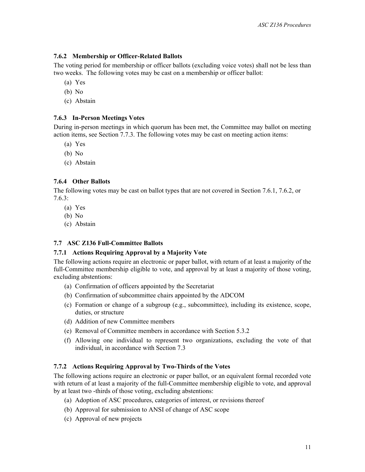# **7.6.2 Membership or Officer-Related Ballots**

The voting period for membership or officer ballots (excluding voice votes) shall not be less than two weeks. The following votes may be cast on a membership or officer ballot:

- (a) Yes
- (b) No
- (c) Abstain

#### **7.6.3 In-Person Meetings Votes**

During in-person meetings in which quorum has been met, the Committee may ballot on meeting action items, see Section 7.7.3. The following votes may be cast on meeting action items:

- (a) Yes
- (b) No
- (c) Abstain

# **7.6.4 Other Ballots**

The following votes may be cast on ballot types that are not covered in Section 7.6.1, 7.6.2, or 7.6.3:

- (a) Yes
- (b) No
- (c) Abstain

# **7.7 ASC Z136 Full-Committee Ballots**

#### **7.7.1 Actions Requiring Approval by a Majority Vote**

The following actions require an electronic or paper ballot, with return of at least a majority of the full-Committee membership eligible to vote, and approval by at least a majority of those voting, excluding abstentions:

- (a) Confirmation of officers appointed by the Secretariat
- (b) Confirmation of subcommittee chairs appointed by the ADCOM
- (c) Formation or change of a subgroup (e.g., subcommittee), including its existence, scope, duties, or structure
- (d) Addition of new Committee members
- (e) Removal of Committee members in accordance with Section 5.3.2
- (f) Allowing one individual to represent two organizations, excluding the vote of that individual, in accordance with Section 7.3

# **7.7.2 Actions Requiring Approval by Two-Thirds of the Votes**

The following actions require an electronic or paper ballot, or an equivalent formal recorded vote with return of at least a majority of the full-Committee membership eligible to vote, and approval by at least two -thirds of those voting, excluding abstentions:

- (a) Adoption of ASC procedures, categories of interest, or revisions thereof
- (b) Approval for submission to ANSI of change of ASC scope
- (c) Approval of new projects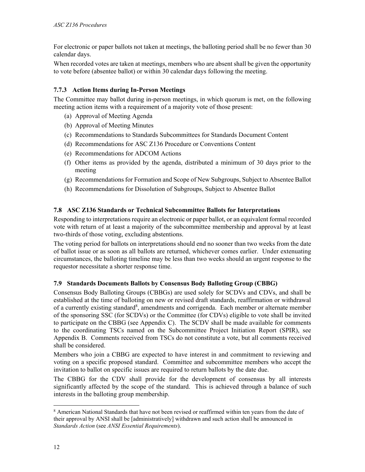For electronic or paper ballots not taken at meetings, the balloting period shall be no fewer than 30 calendar days.

When recorded votes are taken at meetings, members who are absent shall be given the opportunity to vote before (absentee ballot) or within 30 calendar days following the meeting.

# **7.7.3 Action Items during In-Person Meetings**

The Committee may ballot during in-person meetings, in which quorum is met, on the following meeting action items with a requirement of a majority vote of those present:

- (a) Approval of Meeting Agenda
- (b) Approval of Meeting Minutes
- (c) Recommendations to Standards Subcommittees for Standards Document Content
- (d) Recommendations for ASC Z136 Procedure or Conventions Content
- (e) Recommendations for ADCOM Actions
- (f) Other items as provided by the agenda, distributed a minimum of 30 days prior to the meeting
- (g) Recommendations for Formation and Scope of New Subgroups, Subject to Absentee Ballot
- (h) Recommendations for Dissolution of Subgroups, Subject to Absentee Ballot

# **7.8 ASC Z136 Standards or Technical Subcommittee Ballots for Interpretations**

Responding to interpretations require an electronic or paper ballot, or an equivalent formal recorded vote with return of at least a majority of the subcommittee membership and approval by at least two-thirds of those voting, excluding abstentions.

The voting period for ballots on interpretations should end no sooner than two weeks from the date of ballot issue or as soon as all ballots are returned, whichever comes earlier. Under extenuating circumstances, the balloting timeline may be less than two weeks should an urgent response to the requestor necessitate a shorter response time.

# **7.9 Standards Documents Ballots by Consensus Body Balloting Group (CBBG)**

Consensus Body Balloting Groups (CBBGs) are used solely for SCDVs and CDVs, and shall be established at the time of balloting on new or revised draft standards, reaffirmation or withdrawal of a currently existing standard<sup>8</sup>, amendments and corrigenda. Each member or alternate member of the sponsoring SSC (for SCDVs) or the Committee (for CDVs) eligible to vote shall be invited to participate on the CBBG (see Appendix C). The SCDV shall be made available for comments to the coordinating TSCs named on the Subcommittee Project Initiation Report (SPIR), see Appendix B. Comments received from TSCs do not constitute a vote, but all comments received shall be considered.

Members who join a CBBG are expected to have interest in and commitment to reviewing and voting on a specific proposed standard. Committee and subcommittee members who accept the invitation to ballot on specific issues are required to return ballots by the date due.

The CBBG for the CDV shall provide for the development of consensus by all interests significantly affected by the scope of the standard. This is achieved through a balance of such interests in the balloting group membership.

<sup>&</sup>lt;sup>8</sup> American National Standards that have not been revised or reaffirmed within ten years from the date of their approval by ANSI shall be [administratively] withdrawn and such action shall be announced in *Standards Action* (see *ANSI Essential Requirements*).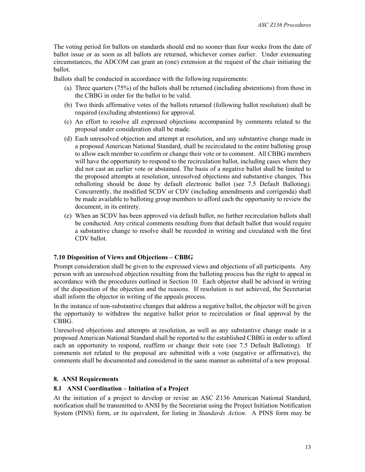The voting period for ballots on standards should end no sooner than four weeks from the date of ballot issue or as soon as all ballots are returned, whichever comes earlier. Under extenuating circumstances, the ADCOM can grant an (one) extension at the request of the chair initiating the ballot.

Ballots shall be conducted in accordance with the following requirements:

- (a) Three quarters (75%) of the ballots shall be returned (including abstentions) from those in the CBBG in order for the ballot to be valid.
- (b) Two thirds affirmative votes of the ballots returned (following ballot resolution) shall be required (excluding abstentions) for approval.
- (c) An effort to resolve all expressed objections accompanied by comments related to the proposal under consideration shall be made.
- (d) Each unresolved objection and attempt at resolution, and any substantive change made in a proposed American National Standard, shall be recirculated to the entire balloting group to allow each member to confirm or change their vote or to comment. All CBBG members will have the opportunity to respond to the recirculation ballot, including cases where they did not cast an earlier vote or abstained. The basis of a negative ballot shall be limited to the proposed attempts at resolution, unresolved objections and substantive changes. This reballoting should be done by default electronic ballot (see 7.5 Default Balloting). Concurrently, the modified SCDV or CDV (including amendments and corrigenda) shall be made available to balloting group members to afford each the opportunity to review the document, in its entirety.
- (e) When an SCDV has been approved via default ballot, no further recirculation ballots shall be conducted. Any critical comments resulting from that default ballot that would require a substantive change to resolve shall be recorded in writing and circulated with the first CDV ballot.

#### **7.10 Disposition of Views and Objections – CBBG**

Prompt consideration shall be given to the expressed views and objections of all participants. Any person with an unresolved objection resulting from the balloting process has the right to appeal in accordance with the procedures outlined in Section 10. Each objector shall be advised in writing of the disposition of the objection and the reasons. If resolution is not achieved, the Secretariat shall inform the objector in writing of the appeals process.

In the instance of non-substantive changes that address a negative ballot, the objector will be given the opportunity to withdraw the negative ballot prior to recirculation or final approval by the CBBG.

Unresolved objections and attempts at resolution, as well as any substantive change made in a proposed American National Standard shall be reported to the established CBBG in order to afford each an opportunity to respond, reaffirm or change their vote (see 7.5 Default Balloting). If comments not related to the proposal are submitted with a vote (negative or affirmative), the comments shall be documented and considered in the same manner as submittal of a new proposal.

#### **8. ANSI Requirements**

#### **8.1 ANSI Coordination – Initiation of a Project**

At the initiation of a project to develop or revise an ASC Z136 American National Standard, notification shall be transmitted to ANSI by the Secretariat using the Project Initiation Notification System (PINS) form, or its equivalent, for listing in *Standards Action*. A PINS form may be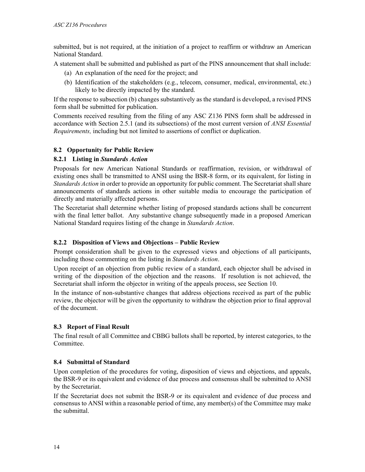submitted, but is not required, at the initiation of a project to reaffirm or withdraw an American National Standard.

A statement shall be submitted and published as part of the PINS announcement that shall include:

- (a) An explanation of the need for the project; and
- (b) Identification of the stakeholders (e.g., telecom, consumer, medical, environmental, etc.) likely to be directly impacted by the standard.

If the response to subsection (b) changes substantively as the standard is developed, a revised PINS form shall be submitted for publication.

Comments received resulting from the filing of any ASC Z136 PINS form shall be addressed in accordance with Section 2.5.1 (and its subsections) of the most current version of *ANSI Essential Requirements,* including but not limited to assertions of conflict or duplication.

# **8.2 Opportunity for Public Review**

#### **8.2.1 Listing in** *Standards Action*

Proposals for new American National Standards or reaffirmation, revision, or withdrawal of existing ones shall be transmitted to ANSI using the BSR-8 form, or its equivalent, for listing in *Standards Action* in order to provide an opportunity for public comment. The Secretariat shall share announcements of standards actions in other suitable media to encourage the participation of directly and materially affected persons.

The Secretariat shall determine whether listing of proposed standards actions shall be concurrent with the final letter ballot. Any substantive change subsequently made in a proposed American National Standard requires listing of the change in *Standards Action*.

# **8.2.2 Disposition of Views and Objections – Public Review**

Prompt consideration shall be given to the expressed views and objections of all participants, including those commenting on the listing in *Standards Action*.

Upon receipt of an objection from public review of a standard, each objector shall be advised in writing of the disposition of the objection and the reasons. If resolution is not achieved, the Secretariat shall inform the objector in writing of the appeals process, see Section 10.

In the instance of non-substantive changes that address objections received as part of the public review, the objector will be given the opportunity to withdraw the objection prior to final approval of the document.

#### **8.3 Report of Final Result**

The final result of all Committee and CBBG ballots shall be reported, by interest categories, to the Committee.

# **8.4 Submittal of Standard**

Upon completion of the procedures for voting, disposition of views and objections, and appeals, the BSR-9 or its equivalent and evidence of due process and consensus shall be submitted to ANSI by the Secretariat.

If the Secretariat does not submit the BSR-9 or its equivalent and evidence of due process and consensus to ANSI within a reasonable period of time, any member(s) of the Committee may make the submittal.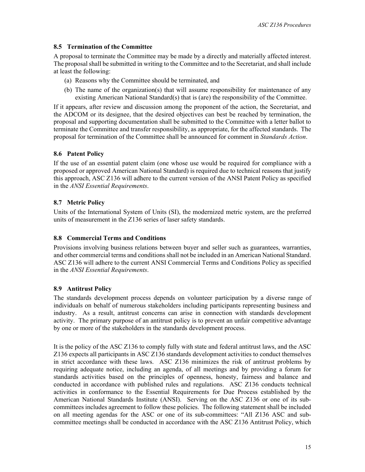#### **8.5 Termination of the Committee**

A proposal to terminate the Committee may be made by a directly and materially affected interest. The proposal shall be submitted in writing to the Committee and to the Secretariat, and shall include at least the following:

- (a) Reasons why the Committee should be terminated, and
- (b) The name of the organization(s) that will assume responsibility for maintenance of any existing American National Standard(s) that is (are) the responsibility of the Committee.

If it appears, after review and discussion among the proponent of the action, the Secretariat, and the ADCOM or its designee, that the desired objectives can best be reached by termination, the proposal and supporting documentation shall be submitted to the Committee with a letter ballot to terminate the Committee and transfer responsibility, as appropriate, for the affected standards. The proposal for termination of the Committee shall be announced for comment in *Standards Action*.

# **8.6 Patent Policy**

If the use of an essential patent claim (one whose use would be required for compliance with a proposed or approved American National Standard) is required due to technical reasons that justify this approach, ASC Z136 will adhere to the current version of the ANSI Patent Policy as specified in the *ANSI Essential Requirements*.

#### **8.7 Metric Policy**

Units of the International System of Units (SI), the modernized metric system, are the preferred units of measurement in the Z136 series of laser safety standards.

#### **8.8 Commercial Terms and Conditions**

Provisions involving business relations between buyer and seller such as guarantees, warranties, and other commercial terms and conditions shall not be included in an American National Standard. ASC Z136 will adhere to the current ANSI Commercial Terms and Conditions Policy as specified in the *ANSI Essential Requirements*.

# **8.9 Antitrust Policy**

The standards development process depends on volunteer participation by a diverse range of individuals on behalf of numerous stakeholders including participants representing business and industry. As a result, antitrust concerns can arise in connection with standards development activity. The primary purpose of an antitrust policy is to prevent an unfair competitive advantage by one or more of the stakeholders in the standards development process.

It is the policy of the ASC Z136 to comply fully with state and federal antitrust laws, and the ASC Z136 expects all participants in ASC Z136 standards development activities to conduct themselves in strict accordance with these laws. ASC Z136 minimizes the risk of antitrust problems by requiring adequate notice, including an agenda, of all meetings and by providing a forum for standards activities based on the principles of openness, honesty, fairness and balance and conducted in accordance with published rules and regulations. ASC Z136 conducts technical activities in conformance to the Essential Requirements for Due Process established by the American National Standards Institute (ANSI). Serving on the ASC Z136 or one of its subcommittees includes agreement to follow these policies. The following statement shall be included on all meeting agendas for the ASC or one of its sub-committees: "All Z136 ASC and subcommittee meetings shall be conducted in accordance with the ASC Z136 Antitrust Policy, which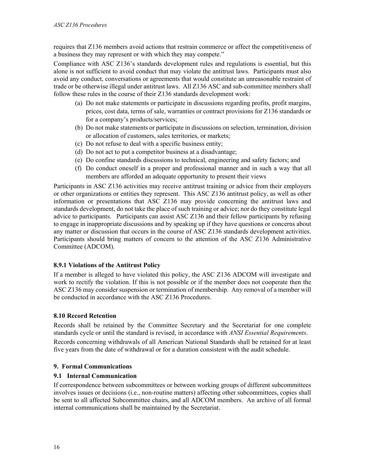requires that Z136 members avoid actions that restrain commerce or affect the competitiveness of a business they may represent or with which they may compete."

Compliance with ASC Z136's standards development rules and regulations is essential, but this alone is not sufficient to avoid conduct that may violate the antitrust laws. Participants must also avoid any conduct, conversations or agreements that would constitute an unreasonable restraint of trade or be otherwise illegal under antitrust laws. All Z136 ASC and sub-committee members shall follow these rules in the course of their Z136 standards development work:

- (a) Do not make statements or participate in discussions regarding profits, profit margins, prices, cost data, terms of sale, warranties or contract provisions for Z136 standards or for a company's products/services;
- (b) Do not make statements or participate in discussions on selection, termination, division or allocation of customers, sales territories, or markets;
- (c) Do not refuse to deal with a specific business entity;
- (d) Do not act to put a competitor business at a disadvantage;
- (e) Do confine standards discussions to technical, engineering and safety factors; and
- (f) Do conduct oneself in a proper and professional manner and in such a way that all members are afforded an adequate opportunity to present their views

Participants in ASC Z136 activities may receive antitrust training or advice from their employers or other organizations or entities they represent. This ASC Z136 antitrust policy, as well as other information or presentations that ASC Z136 may provide concerning the antitrust laws and standards development, do not take the place of such training or advice; nor do they constitute legal advice to participants. Participants can assist ASC Z136 and their fellow participants by refusing to engage in inappropriate discussions and by speaking up if they have questions or concerns about any matter or discussion that occurs in the course of ASC Z136 standards development activities. Participants should bring matters of concern to the attention of the ASC Z136 Administrative Committee (ADCOM).

# **8.9.1 Violations of the Antitrust Policy**

If a member is alleged to have violated this policy, the ASC Z136 ADCOM will investigate and work to rectify the violation. If this is not possible or if the member does not cooperate then the ASC Z136 may consider suspension or termination of membership. Any removal of a member will be conducted in accordance with the ASC Z136 Procedures.

# **8.10 Record Retention**

Records shall be retained by the Committee Secretary and the Secretariat for one complete standards cycle or until the standard is revised, in accordance with *ANSI Essential Requirements*. Records concerning withdrawals of all American National Standards shall be retained for at least five years from the date of withdrawal or for a duration consistent with the audit schedule.

# **9. Formal Communications**

# **9.1 Internal Communication**

If correspondence between subcommittees or between working groups of different subcommittees involves issues or decisions (i.e., non-routine matters) affecting other subcommittees, copies shall be sent to all affected Subcommittee chairs, and all ADCOM members. An archive of all formal internal communications shall be maintained by the Secretariat.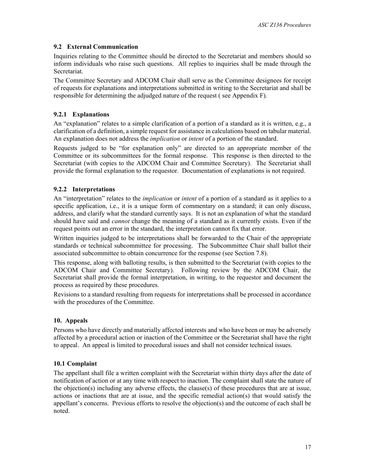# **9.2 External Communication**

Inquiries relating to the Committee should be directed to the Secretariat and members should so inform individuals who raise such questions. All replies to inquiries shall be made through the Secretariat.

The Committee Secretary and ADCOM Chair shall serve as the Committee designees for receipt of requests for explanations and interpretations submitted in writing to the Secretariat and shall be responsible for determining the adjudged nature of the request ( see Appendix F).

# **9.2.1 Explanations**

An "explanation" relates to a simple clarification of a portion of a standard as it is written, e.g., a clarification of a definition, a simple request for assistance in calculations based on tabular material. An explanation does not address the *implication* or *intent* of a portion of the standard.

Requests judged to be "for explanation only" are directed to an appropriate member of the Committee or its subcommittees for the formal response. This response is then directed to the Secretariat (with copies to the ADCOM Chair and Committee Secretary). The Secretariat shall provide the formal explanation to the requestor. Documentation of explanations is not required.

#### **9.2.2 Interpretations**

An "interpretation" relates to the *implication* or *intent* of a portion of a standard as it applies to a specific application, i.e., it is a unique form of commentary on a standard; it can only discuss, address, and clarify what the standard currently says. It is not an explanation of what the standard should have said and *cannot* change the meaning of a standard as it currently exists. Even if the request points out an error in the standard, the interpretation cannot fix that error.

Written inquiries judged to be interpretations shall be forwarded to the Chair of the appropriate standards or technical subcommittee for processing. The Subcommittee Chair shall ballot their associated subcommittee to obtain concurrence for the response (see Section 7.8).

This response, along with balloting results, is then submitted to the Secretariat (with copies to the ADCOM Chair and Committee Secretary). Following review by the ADCOM Chair, the Secretariat shall provide the formal interpretation, in writing, to the requestor and document the process as required by these procedures.

Revisions to a standard resulting from requests for interpretations shall be processed in accordance with the procedures of the Committee.

#### **10. Appeals**

Persons who have directly and materially affected interests and who have been or may be adversely affected by a procedural action or inaction of the Committee or the Secretariat shall have the right to appeal. An appeal is limited to procedural issues and shall not consider technical issues.

# **10.1 Complaint**

The appellant shall file a written complaint with the Secretariat within thirty days after the date of notification of action or at any time with respect to inaction. The complaint shall state the nature of the objection(s) including any adverse effects, the clause(s) of these procedures that are at issue, actions or inactions that are at issue, and the specific remedial action(s) that would satisfy the appellant's concerns. Previous efforts to resolve the objection(s) and the outcome of each shall be noted.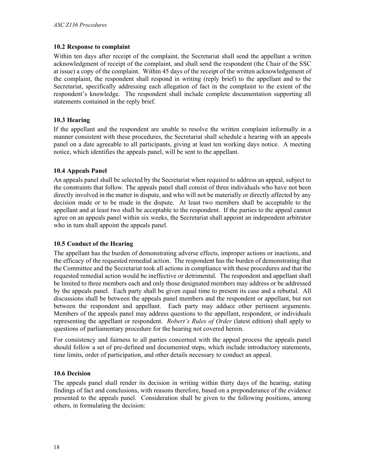#### **10.2 Response to complaint**

Within ten days after receipt of the complaint, the Secretariat shall send the appellant a written acknowledgment of receipt of the complaint, and shall send the respondent (the Chair of the SSC at issue) a copy of the complaint. Within 45 days of the receipt of the written acknowledgement of the complaint, the respondent shall respond in writing (reply brief) to the appellant and to the Secretariat, specifically addressing each allegation of fact in the complaint to the extent of the respondent's knowledge. The respondent shall include complete documentation supporting all statements contained in the reply brief.

#### **10.3 Hearing**

If the appellant and the respondent are unable to resolve the written complaint informally in a manner consistent with these procedures, the Secretariat shall schedule a hearing with an appeals panel on a date agreeable to all participants, giving at least ten working days notice. A meeting notice, which identifies the appeals panel, will be sent to the appellant.

#### **10.4 Appeals Panel**

An appeals panel shall be selected by the Secretariat when required to address an appeal, subject to the constraints that follow. The appeals panel shall consist of three individuals who have not been directly involved in the matter in dispute, and who will not be materially or directly affected by any decision made or to be made in the dispute. At least two members shall be acceptable to the appellant and at least two shall be acceptable to the respondent. If the parties to the appeal cannot agree on an appeals panel within six weeks, the Secretariat shall appoint an independent arbitrator who in turn shall appoint the appeals panel.

# **10.5 Conduct of the Hearing**

The appellant has the burden of demonstrating adverse effects, improper actions or inactions, and the efficacy of the requested remedial action. The respondent has the burden of demonstrating that the Committee and the Secretariat took all actions in compliance with these procedures and that the requested remedial action would be ineffective or detrimental. The respondent and appellant shall be limited to three members each and only those designated members may address or be addressed by the appeals panel. Each party shall be given equal time to present its case and a rebuttal. All discussions shall be between the appeals panel members and the respondent or appellant, but not between the respondent and appellant. Each party may adduce other pertinent arguments. Members of the appeals panel may address questions to the appellant, respondent, or individuals representing the appellant or respondent. *Robert's Rules of Order* (latest edition) shall apply to questions of parliamentary procedure for the hearing not covered herein.

For consistency and fairness to all parties concerned with the appeal process the appeals panel should follow a set of pre-defined and documented steps, which include introductory statements, time limits, order of participation, and other details necessary to conduct an appeal.

#### **10.6 Decision**

The appeals panel shall render its decision in writing within thirty days of the hearing, stating findings of fact and conclusions, with reasons therefore, based on a preponderance of the evidence presented to the appeals panel. Consideration shall be given to the following positions, among others, in formulating the decision: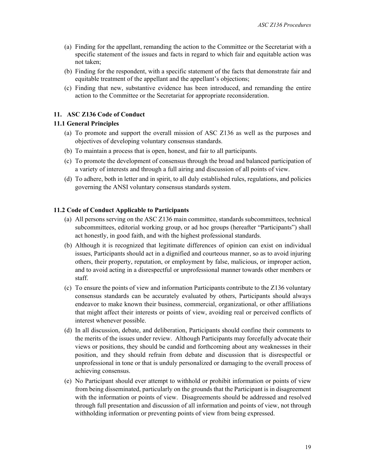- (a) Finding for the appellant, remanding the action to the Committee or the Secretariat with a specific statement of the issues and facts in regard to which fair and equitable action was not taken;
- (b) Finding for the respondent, with a specific statement of the facts that demonstrate fair and equitable treatment of the appellant and the appellant's objections;
- (c) Finding that new, substantive evidence has been introduced, and remanding the entire action to the Committee or the Secretariat for appropriate reconsideration.

#### **11. ASC Z136 Code of Conduct**

#### **11.1 General Principles**

- (a) To promote and support the overall mission of ASC Z136 as well as the purposes and objectives of developing voluntary consensus standards.
- (b) To maintain a process that is open, honest, and fair to all participants.
- (c) To promote the development of consensus through the broad and balanced participation of a variety of interests and through a full airing and discussion of all points of view.
- (d) To adhere, both in letter and in spirit, to all duly established rules, regulations, and policies governing the ANSI voluntary consensus standards system.

#### **11.2 Code of Conduct Applicable to Participants**

- (a) All persons serving on the ASC Z136 main committee, standards subcommittees, technical subcommittees, editorial working group, or ad hoc groups (hereafter "Participants") shall act honestly, in good faith, and with the highest professional standards.
- (b) Although it is recognized that legitimate differences of opinion can exist on individual issues, Participants should act in a dignified and courteous manner, so as to avoid injuring others, their property, reputation, or employment by false, malicious, or improper action, and to avoid acting in a disrespectful or unprofessional manner towards other members or staff.
- (c) To ensure the points of view and information Participants contribute to the Z136 voluntary consensus standards can be accurately evaluated by others, Participants should always endeavor to make known their business, commercial, organizational, or other affiliations that might affect their interests or points of view, avoiding real or perceived conflicts of interest whenever possible.
- (d) In all discussion, debate, and deliberation, Participants should confine their comments to the merits of the issues under review. Although Participants may forcefully advocate their views or positions, they should be candid and forthcoming about any weaknesses in their position, and they should refrain from debate and discussion that is disrespectful or unprofessional in tone or that is unduly personalized or damaging to the overall process of achieving consensus.
- (e) No Participant should ever attempt to withhold or prohibit information or points of view from being disseminated, particularly on the grounds that the Participant is in disagreement with the information or points of view. Disagreements should be addressed and resolved through full presentation and discussion of all information and points of view, not through withholding information or preventing points of view from being expressed.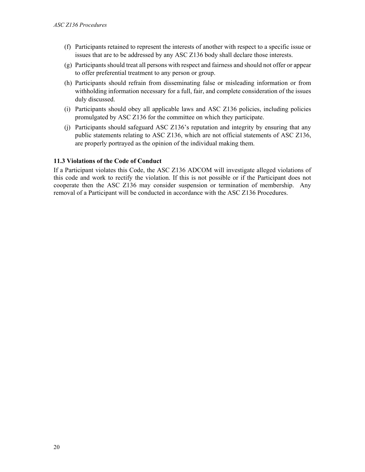- (f) Participants retained to represent the interests of another with respect to a specific issue or issues that are to be addressed by any ASC Z136 body shall declare those interests.
- (g) Participants should treat all persons with respect and fairness and should not offer or appear to offer preferential treatment to any person or group.
- (h) Participants should refrain from disseminating false or misleading information or from withholding information necessary for a full, fair, and complete consideration of the issues duly discussed.
- (i) Participants should obey all applicable laws and ASC Z136 policies, including policies promulgated by ASC Z136 for the committee on which they participate.
- (j) Participants should safeguard ASC Z136's reputation and integrity by ensuring that any public statements relating to ASC Z136, which are not official statements of ASC Z136, are properly portrayed as the opinion of the individual making them.

#### **11.3 Violations of the Code of Conduct**

If a Participant violates this Code, the ASC Z136 ADCOM will investigate alleged violations of this code and work to rectify the violation. If this is not possible or if the Participant does not cooperate then the ASC Z136 may consider suspension or termination of membership. Any removal of a Participant will be conducted in accordance with the ASC Z136 Procedures.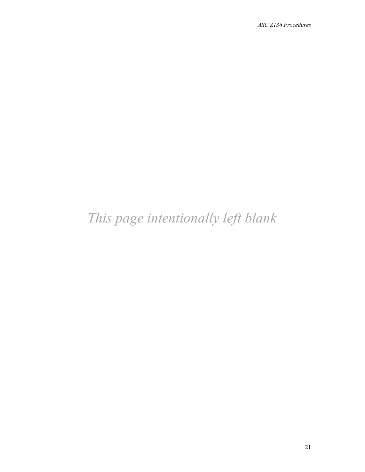# *This page intentionally left blank*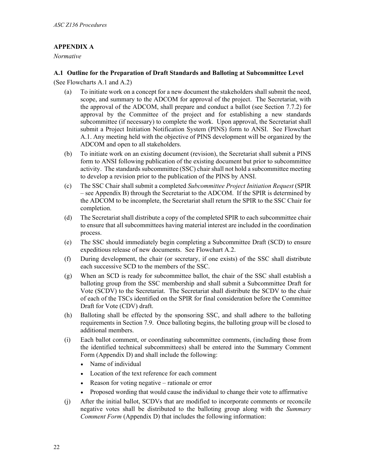# **APPENDIX A**

*Normative*

#### **A.1 Outline for the Preparation of Draft Standards and Balloting at Subcommittee Level**

(See Flowcharts A.1 and A.2)

- (a) To initiate work on a concept for a new document the stakeholders shall submit the need, scope, and summary to the ADCOM for approval of the project. The Secretariat, with the approval of the ADCOM, shall prepare and conduct a ballot (see Section 7.7.2) for approval by the Committee of the project and for establishing a new standards subcommittee (if necessary) to complete the work. Upon approval, the Secretariat shall submit a Project Initiation Notification System (PINS) form to ANSI. See Flowchart A.1. Any meeting held with the objective of PINS development will be organized by the ADCOM and open to all stakeholders.
- (b) To initiate work on an existing document (revision), the Secretariat shall submit a PINS form to ANSI following publication of the existing document but prior to subcommittee activity. The standards subcommittee (SSC) chair shall not hold a subcommittee meeting to develop a revision prior to the publication of the PINS by ANSI.
- (c) The SSC Chair shall submit a completed *Subcommittee Project Initiation Request* (SPIR – see Appendix B) through the Secretariat to the ADCOM. If the SPIR is determined by the ADCOM to be incomplete, the Secretariat shall return the SPIR to the SSC Chair for completion.
- (d) The Secretariat shall distribute a copy of the completed SPIR to each subcommittee chair to ensure that all subcommittees having material interest are included in the coordination process.
- (e) The SSC should immediately begin completing a Subcommittee Draft (SCD) to ensure expeditious release of new documents. See Flowchart A.2.
- (f) During development, the chair (or secretary, if one exists) of the SSC shall distribute each successive SCD to the members of the SSC.
- (g) When an SCD is ready for subcommittee ballot, the chair of the SSC shall establish a balloting group from the SSC membership and shall submit a Subcommittee Draft for Vote (SCDV) to the Secretariat. The Secretariat shall distribute the SCDV to the chair of each of the TSCs identified on the SPIR for final consideration before the Committee Draft for Vote (CDV) draft.
- (h) Balloting shall be effected by the sponsoring SSC, and shall adhere to the balloting requirements in Section 7.9. Once balloting begins, the balloting group will be closed to additional members.
- (i) Each ballot comment, or coordinating subcommittee comments, (including those from the identified technical subcommittees) shall be entered into the Summary Comment Form (Appendix D) and shall include the following:
	- Name of individual
	- Location of the text reference for each comment
	- Reason for voting negative rationale or error
	- Proposed wording that would cause the individual to change their vote to affirmative
- (j) After the initial ballot, SCDVs that are modified to incorporate comments or reconcile negative votes shall be distributed to the balloting group along with the *Summary Comment Form* (Appendix D) that includes the following information: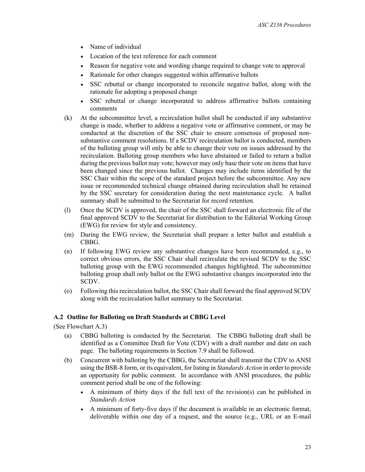- Name of individual
- Location of the text reference for each comment
- Reason for negative vote and wording change required to change vote to approval
- Rationale for other changes suggested within affirmative ballots
- SSC rebuttal or change incorporated to reconcile negative ballot, along with the rationale for adopting a proposed change
- SSC rebuttal or change incorporated to address affirmative ballots containing comments
- (k) At the subcommittee level, a recirculation ballot shall be conducted if any substantive change is made, whether to address a negative vote or affirmative comment, or may be conducted at the discretion of the SSC chair to ensure consensus of proposed nonsubstantive comment resolutions. If a SCDV recirculation ballot is conducted, members of the balloting group will only be able to change their vote on issues addressed by the recirculation. Balloting group members who have abstained or failed to return a ballot during the previous ballot may vote; however may only base their vote on items that have been changed since the previous ballot. Changes may include items identified by the SSC Chair within the scope of the standard project before the subcommittee. Any new issue or recommended technical change obtained during recirculation shall be retained by the SSC secretary for consideration during the next maintenance cycle. A ballot summary shall be submitted to the Secretariat for record retention.
- (l) Once the SCDV is approved, the chair of the SSC shall forward an electronic file of the final approved SCDV to the Secretariat for distribution to the Editorial Working Group (EWG) for review for style and consistency.
- (m) During the EWG review, the Secretariat shall prepare a letter ballot and establish a CBBG.
- (n) If following EWG review any substantive changes have been recommended, e.g., to correct obvious errors, the SSC Chair shall recirculate the revised SCDV to the SSC balloting group with the EWG recommended changes highlighted. The subcommittee balloting group shall only ballot on the EWG substantive changes incorporated into the SCDV.
- (o) Following this recirculation ballot, the SSC Chair shall forward the final approved SCDV along with the recirculation ballot summary to the Secretariat.

#### **A.2 Outline for Balloting on Draft Standards at CBBG Level**

(See Flowchart A.3)

- (a) CBBG balloting is conducted by the Secretariat. The CBBG balloting draft shall be identified as a Committee Draft for Vote (CDV) with a draft number and date on each page. The balloting requirements in Section 7.9 shall be followed.
- (b) Concurrent with balloting by the CBBG, the Secretariat shall transmit the CDV to ANSI using the BSR-8 form, or its equivalent, for listing in *Standards Action* in order to provide an opportunity for public comment. In accordance with ANSI procedures, the public comment period shall be one of the following:
	- A minimum of thirty days if the full text of the revision(s) can be published in *Standards Action*
	- A minimum of forty-five days if the document is available in an electronic format, deliverable within one day of a request, and the source (e.g., URL or an E-mail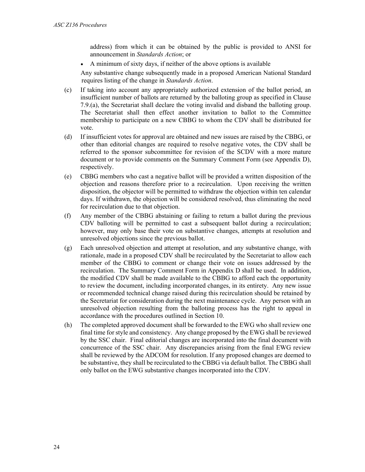address) from which it can be obtained by the public is provided to ANSI for announcement in *Standards Action*; or

• A minimum of sixty days, if neither of the above options is available

Any substantive change subsequently made in a proposed American National Standard requires listing of the change in *Standards Action*.

- (c) If taking into account any appropriately authorized extension of the ballot period, an insufficient number of ballots are returned by the balloting group as specified in Clause 7.9.(a), the Secretariat shall declare the voting invalid and disband the balloting group. The Secretariat shall then effect another invitation to ballot to the Committee membership to participate on a new CBBG to whom the CDV shall be distributed for vote.
- (d) If insufficient votes for approval are obtained and new issues are raised by the CBBG, or other than editorial changes are required to resolve negative votes, the CDV shall be referred to the sponsor subcommittee for revision of the SCDV with a more mature document or to provide comments on the Summary Comment Form (see Appendix D), respectively.
- (e) CBBG members who cast a negative ballot will be provided a written disposition of the objection and reasons therefore prior to a recirculation. Upon receiving the written disposition, the objector will be permitted to withdraw the objection within ten calendar days. If withdrawn, the objection will be considered resolved, thus eliminating the need for recirculation due to that objection.
- (f) Any member of the CBBG abstaining or failing to return a ballot during the previous CDV balloting will be permitted to cast a subsequent ballot during a recirculation; however, may only base their vote on substantive changes, attempts at resolution and unresolved objections since the previous ballot.
- (g) Each unresolved objection and attempt at resolution, and any substantive change, with rationale, made in a proposed CDV shall be recirculated by the Secretariat to allow each member of the CBBG to comment or change their vote on issues addressed by the recirculation. The Summary Comment Form in Appendix D shall be used. In addition, the modified CDV shall be made available to the CBBG to afford each the opportunity to review the document, including incorporated changes, in its entirety. Any new issue or recommended technical change raised during this recirculation should be retained by the Secretariat for consideration during the next maintenance cycle. Any person with an unresolved objection resulting from the balloting process has the right to appeal in accordance with the procedures outlined in Section 10.
- (h) The completed approved document shall be forwarded to the EWG who shall review one final time for style and consistency. Any change proposed by the EWG shall be reviewed by the SSC chair. Final editorial changes are incorporated into the final document with concurrence of the SSC chair. Any discrepancies arising from the final EWG review shall be reviewed by the ADCOM for resolution. If any proposed changes are deemed to be substantive, they shall be recirculated to the CBBG via default ballot. The CBBG shall only ballot on the EWG substantive changes incorporated into the CDV.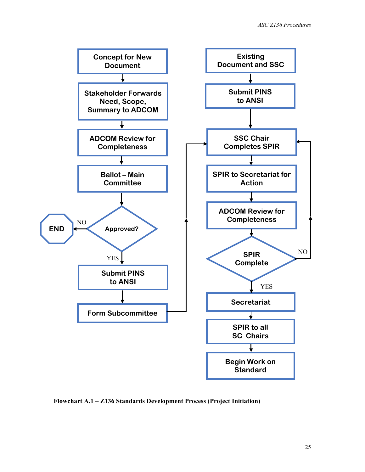

**Flowchart A.1 – Z136 Standards Development Process (Project Initiation)**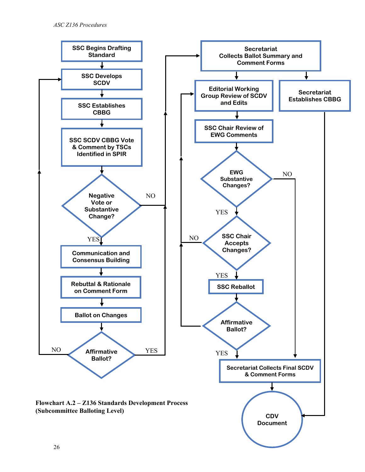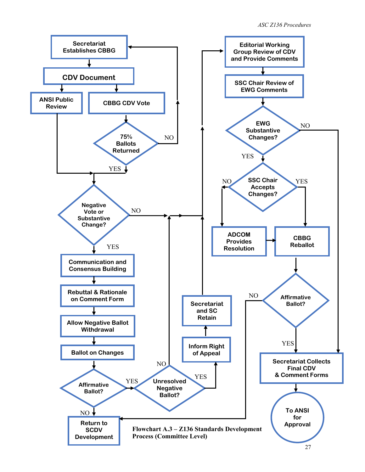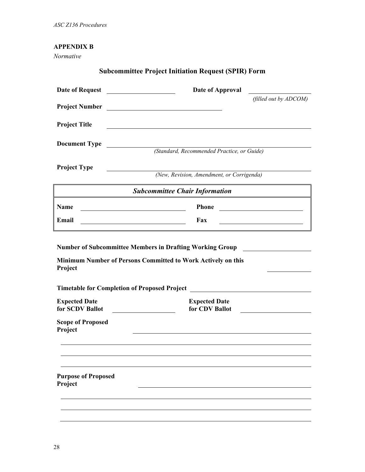# **APPENDIX B**

*Normative*

|                                                     | <b>Subcommittee Project Initiation Request (SPIR) Form</b>                                                           |
|-----------------------------------------------------|----------------------------------------------------------------------------------------------------------------------|
| <b>Date of Request</b>                              | Date of Approval                                                                                                     |
| <b>Project Number</b>                               | (filled out by ADCOM)                                                                                                |
| <b>Project Title</b>                                | <u> 1980 - Johann Barn, mars ann an t-Amhain Aonaich an t-Aonaich an t-Aonaich ann an t-Aonaich ann an t-Aonaich</u> |
| <b>Document Type</b>                                | (Standard, Recommended Practice, or Guide)                                                                           |
| <b>Project Type</b>                                 | (New, Revision, Amendment, or Corrigenda)                                                                            |
|                                                     | <b>Subcommittee Chair Information</b>                                                                                |
| <b>Name</b>                                         | <b>Phone</b><br><u> 1980 - Jan Barat, martin a</u>                                                                   |
| Email                                               | Fax                                                                                                                  |
| Project                                             | Minimum Number of Persons Committed to Work Actively on this                                                         |
| <b>Timetable for Completion of Proposed Project</b> |                                                                                                                      |
| <b>Expected Date</b><br>for SCDV Ballot             | <b>Expected Date</b><br>for CDV Ballot                                                                               |
| <b>Scope of Proposed</b><br>Project                 |                                                                                                                      |
|                                                     |                                                                                                                      |
| <b>Purpose of Proposed</b><br>Project               |                                                                                                                      |
|                                                     |                                                                                                                      |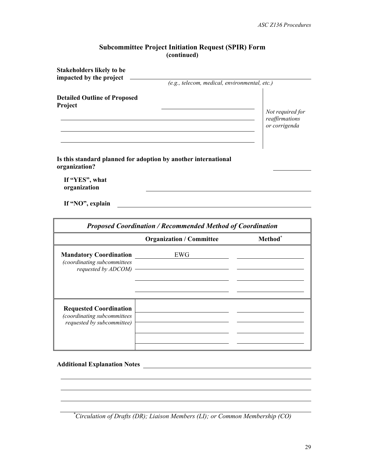#### **Subcommittee Project Initiation Request (SPIR) Form (continued)**

| <b>Stakeholders likely to be</b><br>impacted by the project                                |                                                                   |                                                     |
|--------------------------------------------------------------------------------------------|-------------------------------------------------------------------|-----------------------------------------------------|
|                                                                                            | (e.g., telecom, medical, environmental, etc.)                     |                                                     |
| <b>Detailed Outline of Proposed</b><br>Project                                             |                                                                   | Not required for<br>reaffirmations<br>or corrigenda |
| organization?                                                                              | Is this standard planned for adoption by another international    |                                                     |
| If "YES", what<br>organization                                                             |                                                                   |                                                     |
| If "NO", explain                                                                           |                                                                   |                                                     |
|                                                                                            | <b>Proposed Coordination / Recommended Method of Coordination</b> |                                                     |
|                                                                                            | <b>Organization / Committee</b>                                   | Method*                                             |
| <b>Mandatory Coordination</b><br>(coordinating subcommittees<br>requested by ADCOM)        | EWG                                                               |                                                     |
| <b>Requested Coordination</b><br>(coordinating subcommittees<br>requested by subcommittee) |                                                                   |                                                     |
|                                                                                            |                                                                   |                                                     |
| <b>Additional Explanation Notes</b>                                                        |                                                                   |                                                     |

*\* Circulation of Drafts (DR); Liaison Members (LI); or Common Membership (CO)*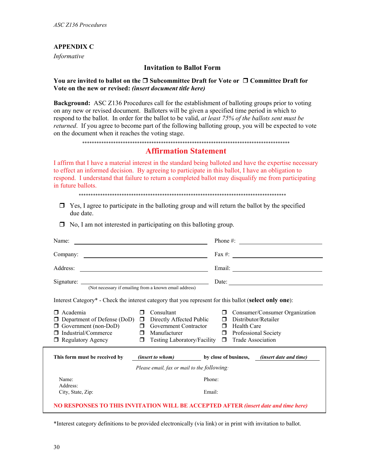#### **APPENDIX C**

*Informative*

#### **Invitation to Ballot Form**

#### You are invited to ballot on the  $\Box$  Subcommittee Draft for Vote or  $\Box$  Committee Draft for **Vote on the new or revised:** *(insert document title here)*

**Background:** ASC Z136 Procedures call for the establishment of balloting groups prior to voting on any new or revised document. Balloters will be given a specified time period in which to respond to the ballot. In order for the ballot to be valid, *at least 75% of the ballots sent must be returned*. If you agree to become part of the following balloting group, you will be expected to vote on the document when it reaches the voting stage.

#### \*\*\*\*\*\*\*\*\*\*\*\*\*\*\*\*\*\*\*\*\*\*\*\*\*\*\*\*\*\*\*\*\*\*\*\*\*\*\*\*\*\*\*\*\*\*\*\*\*\*\*\*\*\*\*\*\*\*\*\*\*\*\*\*\*\*\*\*\*\*\*\*\*\*\*\*\*\*\*\*\*\*\*\*\*\*\*

# **Affirmation Statement**

I affirm that I have a material interest in the standard being balloted and have the expertise necessary to effect an informed decision. By agreeing to participate in this ballot, I have an obligation to respond. I understand that failure to return a completed ballot may disqualify me from participating in future ballots.

\*\*\*\*\*\*\*\*\*\*\*\*\*\*\*\*\*\*\*\*\*\*\*\*\*\*\*\*\*\*\*\*\*\*\*\*\*\*\*\*\*\*\*\*\*\*\*\*\*\*\*\*\*\*\*\*\*\*\*\*\*\*\*\*\*\*\*\*\*\*\*\*\*\*\*\*\*\*\*\*\*\*\*\*\*\*\*

 $\Box$  Yes, I agree to participate in the balloting group and will return the ballot by the specified due date.

 $\Box$  No, I am not interested in participating on this balloting group.

| Name:                                                                                                                                                                                                                                                                               | the control of the control of the control of the control of the control of the control of | Phone #:              |                                                                                                                           |  |  |  |
|-------------------------------------------------------------------------------------------------------------------------------------------------------------------------------------------------------------------------------------------------------------------------------------|-------------------------------------------------------------------------------------------|-----------------------|---------------------------------------------------------------------------------------------------------------------------|--|--|--|
| Company:                                                                                                                                                                                                                                                                            |                                                                                           |                       |                                                                                                                           |  |  |  |
| Address:                                                                                                                                                                                                                                                                            |                                                                                           |                       |                                                                                                                           |  |  |  |
| (Not necessary if emailing from a known email address)                                                                                                                                                                                                                              | Date: $\frac{1}{\sqrt{1-\frac{1}{2}} \cdot \frac{1}{2}}$                                  |                       |                                                                                                                           |  |  |  |
| Interest Category* - Check the interest category that you represent for this ballot (select only one):                                                                                                                                                                              |                                                                                           |                       |                                                                                                                           |  |  |  |
| Consultant<br>Academia<br>$\Box$ Department of Defense (DoD)<br>Directly Affected Public<br>$\Box$<br>Government (non-DoD)<br>Government Contractor<br>$\Box$<br>Industrial/Commerce<br>Manufacturer<br>$\Box$<br>$\Box$ Regulatory Agency<br>$\Box$<br>Testing Laboratory/Facility |                                                                                           |                       | Consumer/Consumer Organization<br>Distributor/Retailer<br>Health Care<br>Professional Society<br><b>Trade Association</b> |  |  |  |
| This form must be received by                                                                                                                                                                                                                                                       | <i>(insert to whom)</i>                                                                   | by close of business, | <i>(insert date and time)</i>                                                                                             |  |  |  |
|                                                                                                                                                                                                                                                                                     | Please email, fax or mail to the following:                                               |                       |                                                                                                                           |  |  |  |
| Name:<br>Address:                                                                                                                                                                                                                                                                   |                                                                                           | Phone:                |                                                                                                                           |  |  |  |
| City, State, Zip:                                                                                                                                                                                                                                                                   |                                                                                           | Email:                |                                                                                                                           |  |  |  |
| NO RESPONSES TO THIS INVITATION WILL BE ACCEPTED AFTER (insert date and time here)                                                                                                                                                                                                  |                                                                                           |                       |                                                                                                                           |  |  |  |

\*Interest category definitions to be provided electronically (via link) or in print with invitation to ballot.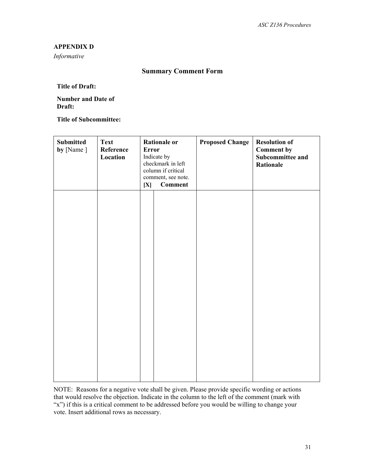#### **APPENDIX D**

*Informative*

# **Summary Comment Form**

#### **Title of Draft:**

**Number and Date of Draft:**

**Title of Subcommittee:**

| <b>Submitted</b><br>by [Name] | <b>Text</b><br>Reference<br>Location | <b>Rationale or</b><br><b>Error</b><br>Indicate by<br>checkmark in left<br>column if critical<br>comment, see note.<br><b>Comment</b><br>[X] | <b>Proposed Change</b> | <b>Resolution of</b><br><b>Comment by</b><br>Subcommittee and<br>Rationale |
|-------------------------------|--------------------------------------|----------------------------------------------------------------------------------------------------------------------------------------------|------------------------|----------------------------------------------------------------------------|
|                               |                                      |                                                                                                                                              |                        |                                                                            |
|                               |                                      |                                                                                                                                              |                        |                                                                            |
|                               |                                      |                                                                                                                                              |                        |                                                                            |
|                               |                                      |                                                                                                                                              |                        |                                                                            |
|                               |                                      |                                                                                                                                              |                        |                                                                            |

NOTE: Reasons for a negative vote shall be given. Please provide specific wording or actions that would resolve the objection. Indicate in the column to the left of the comment (mark with "x") if this is a critical comment to be addressed before you would be willing to change your vote. Insert additional rows as necessary.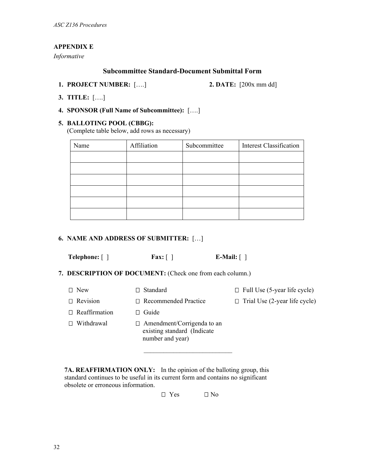#### **APPENDIX E**

*Informative*

#### **Subcommittee Standard-Document Submittal Form**

**1. PROJECT NUMBER:** [….] **2. DATE:** [200x mm dd]

- **3. TITLE:** [….]
- **4. SPONSOR (Full Name of Subcommittee):** [….]

#### **5. BALLOTING POOL (CBBG):**

(Complete table below, add rows as necessary)

| Name | Affiliation | Subcommittee | <b>Interest Classification</b> |
|------|-------------|--------------|--------------------------------|
|      |             |              |                                |
|      |             |              |                                |
|      |             |              |                                |
|      |             |              |                                |
|      |             |              |                                |
|      |             |              |                                |

#### **6. NAME AND ADDRESS OF SUBMITTER:** […]

**Telephone:** [ ] **Fax:** [ ] **E-Mail:** [ ]

# **7. DESCRIPTION OF DOCUMENT:** (Check one from each column.)

| $\Box$ New           | $\Box$ Standard                                                                      | $\Box$ Full Use (5-year life cycle)  |
|----------------------|--------------------------------------------------------------------------------------|--------------------------------------|
| $\Box$ Revision      | □ Recommended Practice                                                               | $\Box$ Trial Use (2-year life cycle) |
| $\Box$ Reaffirmation | $\Box$ Guide                                                                         |                                      |
| $\Box$ Withdrawal    | $\Box$ Amendment/Corrigenda to an<br>existing standard (Indicate<br>number and year) |                                      |

**7A. REAFFIRMATION ONLY:** In the opinion of the balloting group, this standard continues to be useful in its current form and contains no significant obsolete or erroneous information.

 $\Box$  Yes  $\Box$  No

 $\mathcal{L}_\text{max}$  , where  $\mathcal{L}_\text{max}$  is the set of the set of the set of the set of the set of the set of the set of the set of the set of the set of the set of the set of the set of the set of the set of the set of the se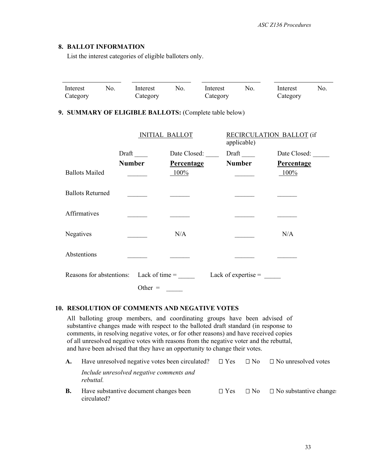#### **8. BALLOT INFORMATION**

List the interest categories of eligible balloters only.

| Interest | No. | Interest | No. | Interest | No. | Interest | No. |
|----------|-----|----------|-----|----------|-----|----------|-----|
| Category |     | Category |     | Category |     | Category |     |

#### **9. SUMMARY OF ELIGIBLE BALLOTS:** (Complete table below)

|                                         | <b>INITIAL BALLOT</b> |              | <b>RECIRCULATION BALLOT</b> (if<br>applicable) |              |  |
|-----------------------------------------|-----------------------|--------------|------------------------------------------------|--------------|--|
|                                         | Draft                 | Date Closed: | Draft                                          | Date Closed: |  |
|                                         | <b>Number</b>         | Percentage   | <b>Number</b>                                  | Percentage   |  |
| <b>Ballots Mailed</b>                   |                       | 100%         |                                                | 100%         |  |
| <b>Ballots Returned</b>                 |                       |              |                                                |              |  |
| Affirmatives                            |                       |              |                                                |              |  |
| Negatives                               |                       | N/A          |                                                | N/A          |  |
| Abstentions                             |                       |              |                                                |              |  |
| Reasons for abstentions: Lack of time = |                       |              | Lack of expertise $=$                          |              |  |
|                                         | Other $=$             |              |                                                |              |  |

#### **10. RESOLUTION OF COMMENTS AND NEGATIVE VOTES**

All balloting group members, and coordinating groups have been advised of substantive changes made with respect to the balloted draft standard (in response to comments, in resolving negative votes, or for other reasons) and have received copies of all unresolved negative votes with reasons from the negative voter and the rebuttal, and have been advised that they have an opportunity to change their votes.

- **A.** Have unresolved negative votes been circulated?  $\Box$  Yes  $\Box$  No  $\Box$  No unresolved votes *Include unresolved negative comments and rebuttal.*
- **B.** Have substantive document changes been circulated?  $\Box$  Yes  $\Box$  No  $\Box$  No substantive changes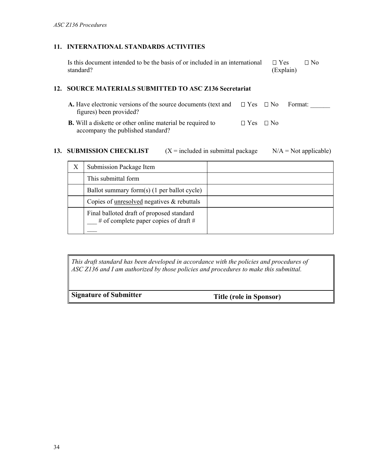#### **11. INTERNATIONAL STANDARDS ACTIVITIES**

accompany the published standard?

| Is this document intended to be the basis of or included in an international<br>standard?                            |            |           | $\Box$ Yes<br>(Explain) | $\Box$ No |  |
|----------------------------------------------------------------------------------------------------------------------|------------|-----------|-------------------------|-----------|--|
| 12. SOURCE MATERIALS SUBMITTED TO ASC Z136 Secretariat                                                               |            |           |                         |           |  |
| <b>A.</b> Have electronic versions of the source documents (text and $\Box$ Yes $\Box$ No<br>figures) been provided? |            |           | Format:                 |           |  |
| <b>B.</b> Will a diskette or other online material be required to                                                    | $\Box$ Yes | $\Box$ No |                         |           |  |

# **13. SUBMISSION CHECKLIST**  $(X = \text{included in submitted package } N/A = \text{Not applicable})$

| Submission Package Item                                                              |  |
|--------------------------------------------------------------------------------------|--|
| This submittal form                                                                  |  |
| Ballot summary form(s) (1 per ballot cycle)                                          |  |
| Copies of unresolved negatives & rebuttals                                           |  |
| Final balloted draft of proposed standard<br># of complete paper copies of draft $#$ |  |
|                                                                                      |  |

*This draft standard has been developed in accordance with the policies and procedures of ASC Z136 and I am authorized by those policies and procedures to make this submittal.*

**Signature of Submitter Title (role in Sponsor)**